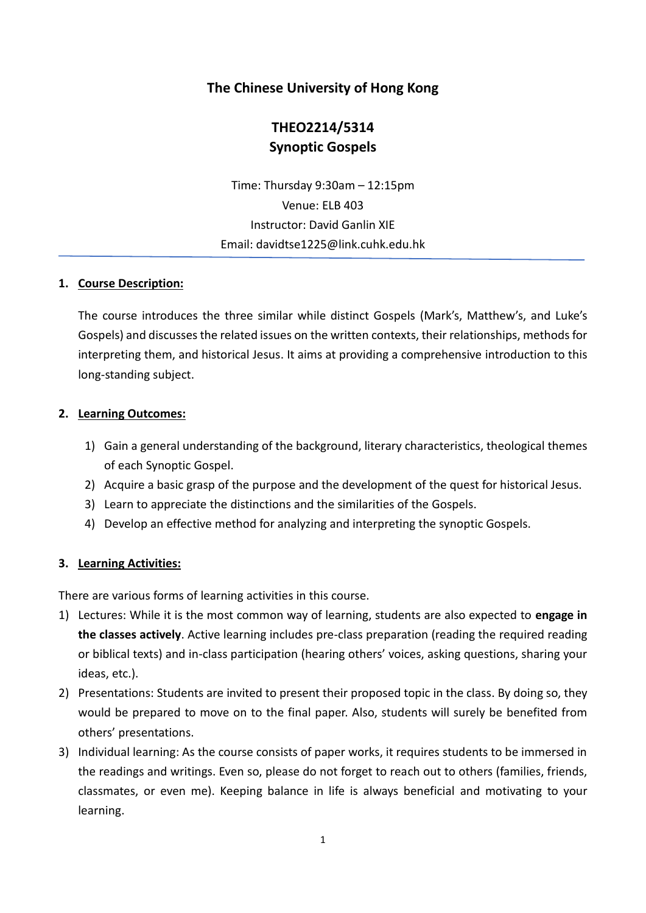# **The Chinese University of Hong Kong**

# **THEO2214/5314 Synoptic Gospels**

Time: Thursday 9:30am – 12:15pm Venue: ELB 403 Instructor: David Ganlin XIE Email: davidtse1225@link.cuhk.edu.hk

#### **1. Course Description:**

The course introduces the three similar while distinct Gospels (Mark's, Matthew's, and Luke's Gospels) and discussesthe related issues on the written contexts, their relationships, methods for interpreting them, and historical Jesus. It aims at providing a comprehensive introduction to this long-standing subject.

#### **2. Learning Outcomes:**

- 1) Gain a general understanding of the background, literary characteristics, theological themes of each Synoptic Gospel.
- 2) Acquire a basic grasp of the purpose and the development of the quest for historical Jesus.
- 3) Learn to appreciate the distinctions and the similarities of the Gospels.
- 4) Develop an effective method for analyzing and interpreting the synoptic Gospels.

#### **3. Learning Activities:**

There are various forms of learning activities in this course.

- 1) Lectures: While it is the most common way of learning, students are also expected to **engage in the classes actively**. Active learning includes pre-class preparation (reading the required reading or biblical texts) and in-class participation (hearing others' voices, asking questions, sharing your ideas, etc.).
- 2) Presentations: Students are invited to present their proposed topic in the class. By doing so, they would be prepared to move on to the final paper. Also, students will surely be benefited from others' presentations.
- 3) Individual learning: As the course consists of paper works, it requires students to be immersed in the readings and writings. Even so, please do not forget to reach out to others (families, friends, classmates, or even me). Keeping balance in life is always beneficial and motivating to your learning.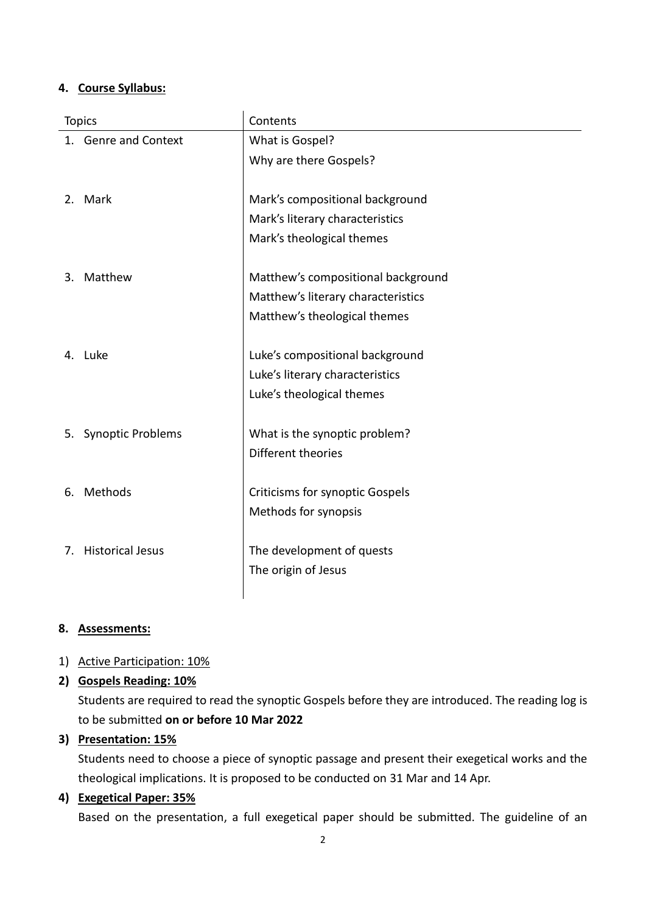#### **4. Course Syllabus:**

| <b>Topics</b> |                         | Contents                               |  |
|---------------|-------------------------|----------------------------------------|--|
|               | 1. Genre and Context    | What is Gospel?                        |  |
|               |                         | Why are there Gospels?                 |  |
|               |                         |                                        |  |
|               | 2. Mark                 | Mark's compositional background        |  |
|               |                         | Mark's literary characteristics        |  |
|               |                         | Mark's theological themes              |  |
|               |                         |                                        |  |
| 3.            | Matthew                 | Matthew's compositional background     |  |
|               |                         | Matthew's literary characteristics     |  |
|               |                         | Matthew's theological themes           |  |
|               |                         |                                        |  |
|               | 4. Luke                 | Luke's compositional background        |  |
|               |                         | Luke's literary characteristics        |  |
|               |                         | Luke's theological themes              |  |
|               |                         |                                        |  |
|               | 5. Synoptic Problems    | What is the synoptic problem?          |  |
|               |                         | Different theories                     |  |
|               |                         |                                        |  |
| 6.            | Methods                 | <b>Criticisms for synoptic Gospels</b> |  |
|               |                         | Methods for synopsis                   |  |
|               |                         |                                        |  |
| 7.            | <b>Historical Jesus</b> | The development of quests              |  |
|               |                         | The origin of Jesus                    |  |
|               |                         |                                        |  |

#### **8. Assessments:**

### 1) Active Participation: 10%

### **2) Gospels Reading: 10%**

Students are required to read the synoptic Gospels before they are introduced. The reading log is to be submitted **on or before 10 Mar 2022**

### **3) Presentation: 15%**

Students need to choose a piece of synoptic passage and present their exegetical works and the theological implications. It is proposed to be conducted on 31 Mar and 14 Apr.

### **4) Exegetical Paper: 35%**

Based on the presentation, a full exegetical paper should be submitted. The guideline of an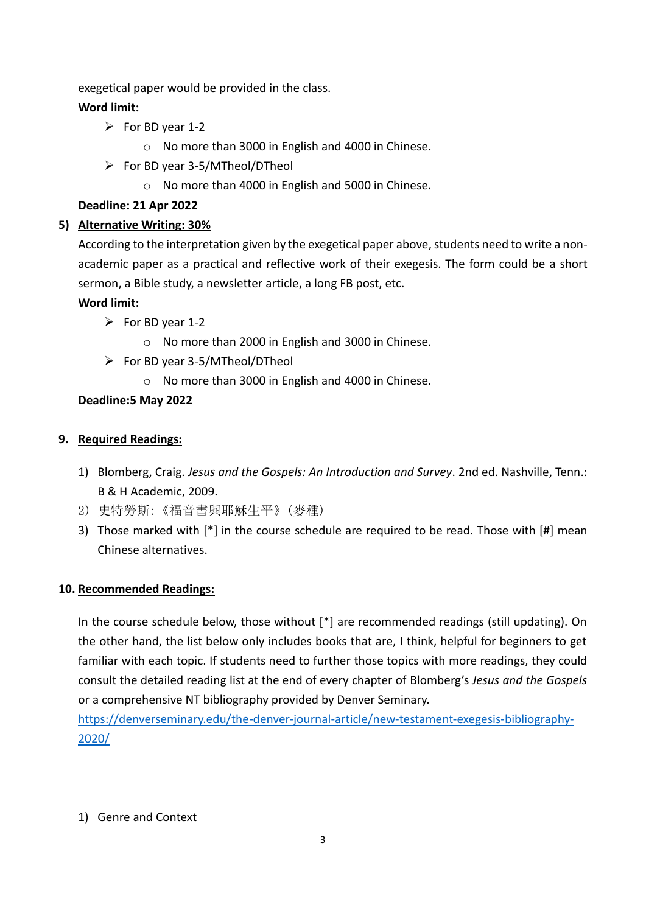exegetical paper would be provided in the class.

### **Word limit:**

- $\triangleright$  For BD year 1-2
	- o No more than 3000 in English and 4000 in Chinese.
- $\triangleright$  For BD year 3-5/MTheol/DTheol
	- o No more than 4000 in English and 5000 in Chinese.

### **Deadline: 21 Apr 2022**

# **5) Alternative Writing: 30%**

According to the interpretation given by the exegetical paper above, students need to write a nonacademic paper as a practical and reflective work of their exegesis. The form could be a short sermon, a Bible study, a newsletter article, a long FB post, etc.

### **Word limit:**

- $\triangleright$  For BD year 1-2
	- o No more than 2000 in English and 3000 in Chinese.
- ➢ For BD year 3-5/MTheol/DTheol
	- o No more than 3000 in English and 4000 in Chinese.

# **Deadline:5 May 2022**

### **9. Required Readings:**

- 1) Blomberg, Craig. *Jesus and the Gospels: An Introduction and Survey*. 2nd ed. Nashville, Tenn.: B & H Academic, 2009.
- 2) 史特勞斯:《福音書與耶穌生平》(麥種)
- 3) Those marked with [\*] in the course schedule are required to be read. Those with [#] mean Chinese alternatives.

### **10. Recommended Readings:**

In the course schedule below, those without [\*] are recommended readings (still updating). On the other hand, the list below only includes books that are, I think, helpful for beginners to get familiar with each topic. If students need to further those topics with more readings, they could consult the detailed reading list at the end of every chapter of Blomberg's *Jesus and the Gospels* or a comprehensive NT bibliography provided by Denver Seminary.

[https://denverseminary.edu/the-denver-journal-article/new-testament-exegesis-bibliography-](https://denverseminary.edu/the-denver-journal-article/new-testament-exegesis-bibliography-2020/)[2020/](https://denverseminary.edu/the-denver-journal-article/new-testament-exegesis-bibliography-2020/)

### 1) Genre and Context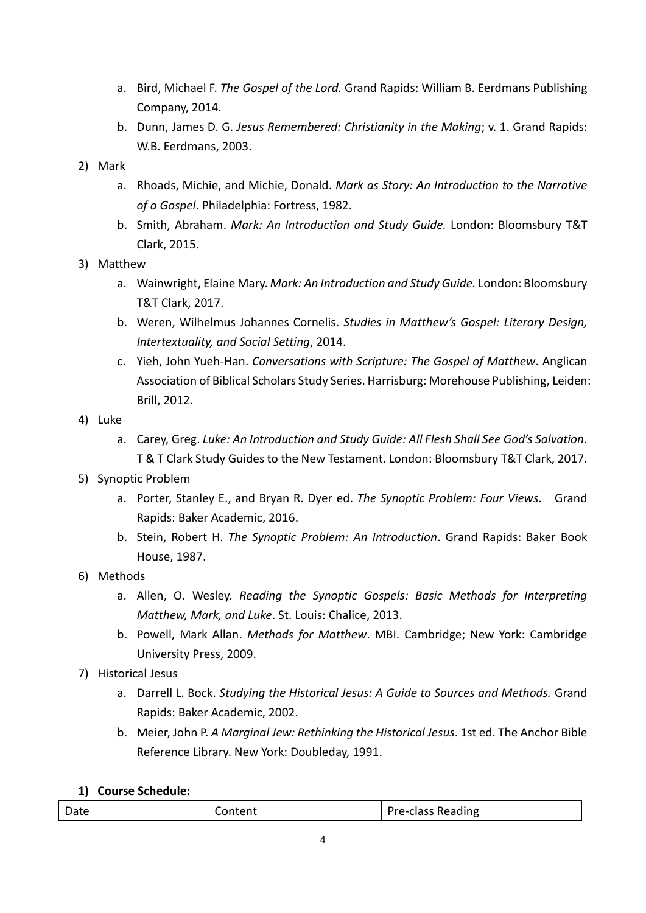- a. Bird, Michael F. *The Gospel of the Lord.* Grand Rapids: William B. Eerdmans Publishing Company, 2014.
- b. Dunn, James D. G. *Jesus Remembered: Christianity in the Making*; v. 1. Grand Rapids: W.B. Eerdmans, 2003.
- 2) Mark
	- a. Rhoads, Michie, and Michie, Donald. *Mark as Story: An Introduction to the Narrative of a Gospel*. Philadelphia: Fortress, 1982.
	- b. Smith, Abraham. *Mark: An Introduction and Study Guide.* London: Bloomsbury T&T Clark, 2015.
- 3) Matthew
	- a. Wainwright, Elaine Mary. *Mark: An Introduction and Study Guide.* London: Bloomsbury T&T Clark, 2017.
	- b. Weren, Wilhelmus Johannes Cornelis. *Studies in Matthew's Gospel: Literary Design, Intertextuality, and Social Setting*, 2014.
	- c. Yieh, John Yueh-Han. *Conversations with Scripture: The Gospel of Matthew*. Anglican Association of Biblical Scholars Study Series. Harrisburg: Morehouse Publishing, Leiden: Brill, 2012.
- 4) Luke
	- a. Carey, Greg. *Luke: An Introduction and Study Guide: All Flesh Shall See God's Salvation*. T & T Clark Study Guides to the New Testament. London: Bloomsbury T&T Clark, 2017.
- 5) Synoptic Problem
	- a. Porter, Stanley E., and Bryan R. Dyer ed. *The Synoptic Problem: Four Views*. Grand Rapids: Baker Academic, 2016.
	- b. Stein, Robert H. *The Synoptic Problem: An Introduction*. Grand Rapids: Baker Book House, 1987.
- 6) Methods
	- a. Allen, O. Wesley. *Reading the Synoptic Gospels: Basic Methods for Interpreting Matthew, Mark, and Luke*. St. Louis: Chalice, 2013.
	- b. Powell, Mark Allan. *Methods for Matthew*. MBI. Cambridge; New York: Cambridge University Press, 2009.
- 7) Historical Jesus
	- a. Darrell L. Bock. *Studying the Historical Jesus: A Guide to Sources and Methods.* Grand Rapids: Baker Academic, 2002.
	- b. Meier, John P. *A Marginal Jew: Rethinking the Historical Jesus*. 1st ed. The Anchor Bible Reference Library. New York: Doubleday, 1991.

### **1) Course Schedule:**

| Date | ontent | <b>Pre-class Reading</b> |
|------|--------|--------------------------|
|------|--------|--------------------------|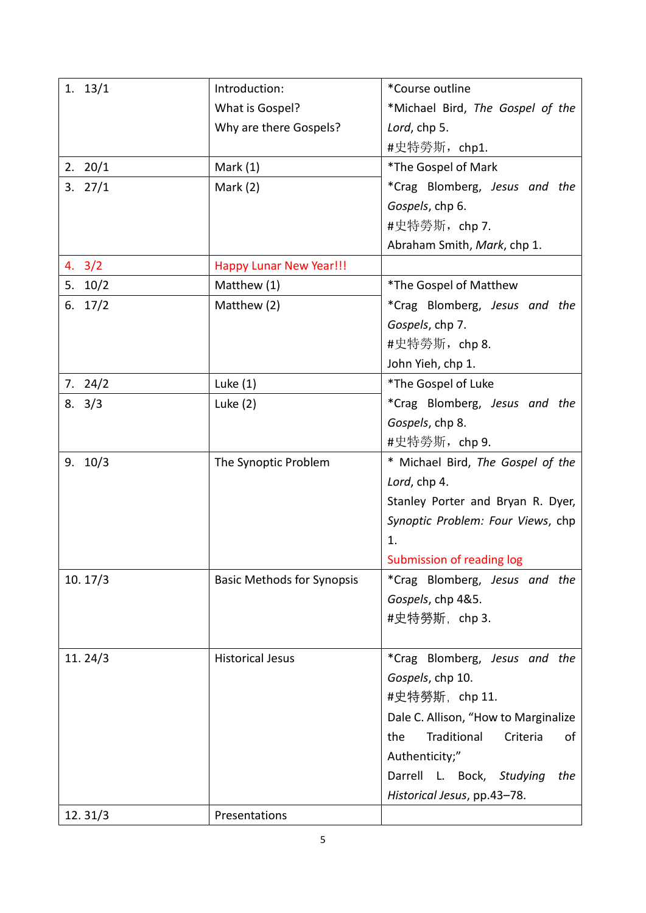| 1. 13/1            | Introduction:                     | *Course outline                      |
|--------------------|-----------------------------------|--------------------------------------|
|                    | What is Gospel?                   | *Michael Bird, The Gospel of the     |
|                    | Why are there Gospels?            | Lord, chp 5.                         |
|                    |                                   | #史特勞斯,chp1.                          |
| 2.20/1             | Mark $(1)$                        | *The Gospel of Mark                  |
| 3.27/1             | Mark $(2)$                        | *Crag Blomberg, Jesus and the        |
|                    |                                   | Gospels, chp 6.                      |
|                    |                                   | #史特勞斯, chp 7.                        |
|                    |                                   | Abraham Smith, Mark, chp 1.          |
| $4. \, 3/2$        | <b>Happy Lunar New Year!!!</b>    |                                      |
| 5.10/2             | Matthew (1)                       | *The Gospel of Matthew               |
| 6. $17/2$          | Matthew (2)                       | *Crag Blomberg, Jesus and the        |
|                    |                                   | Gospels, chp 7.                      |
|                    |                                   | #史特勞斯, chp 8.                        |
|                    |                                   | John Yieh, chp 1.                    |
| 7.24/2             | Luke $(1)$                        | *The Gospel of Luke                  |
| $8. \ \frac{3}{3}$ | Luke $(2)$                        | *Crag Blomberg, Jesus and the        |
|                    |                                   | Gospels, chp 8.                      |
|                    |                                   | #史特勞斯, chp 9.                        |
| 9.10/3             | The Synoptic Problem              | * Michael Bird, The Gospel of the    |
|                    |                                   | Lord, chp 4.                         |
|                    |                                   | Stanley Porter and Bryan R. Dyer,    |
|                    |                                   | Synoptic Problem: Four Views, chp    |
|                    |                                   | 1.                                   |
|                    |                                   | Submission of reading log            |
| 10.17/3            | <b>Basic Methods for Synopsis</b> | *Crag Blomberg, Jesus and the        |
|                    |                                   | Gospels, chp 4&5.                    |
|                    |                                   | #史特勞斯,chp 3.                         |
|                    |                                   |                                      |
| 11.24/3            | <b>Historical Jesus</b>           | *Crag Blomberg, Jesus and the        |
|                    |                                   | Gospels, chp 10.                     |
|                    |                                   | #史特勞斯, chp 11.                       |
|                    |                                   | Dale C. Allison, "How to Marginalize |
|                    |                                   | Traditional<br>Criteria<br>the<br>of |
|                    |                                   | Authenticity;"                       |
|                    |                                   | Darrell L. Bock, Studying<br>the     |
|                    |                                   | Historical Jesus, pp.43-78.          |
| 12.31/3            | Presentations                     |                                      |